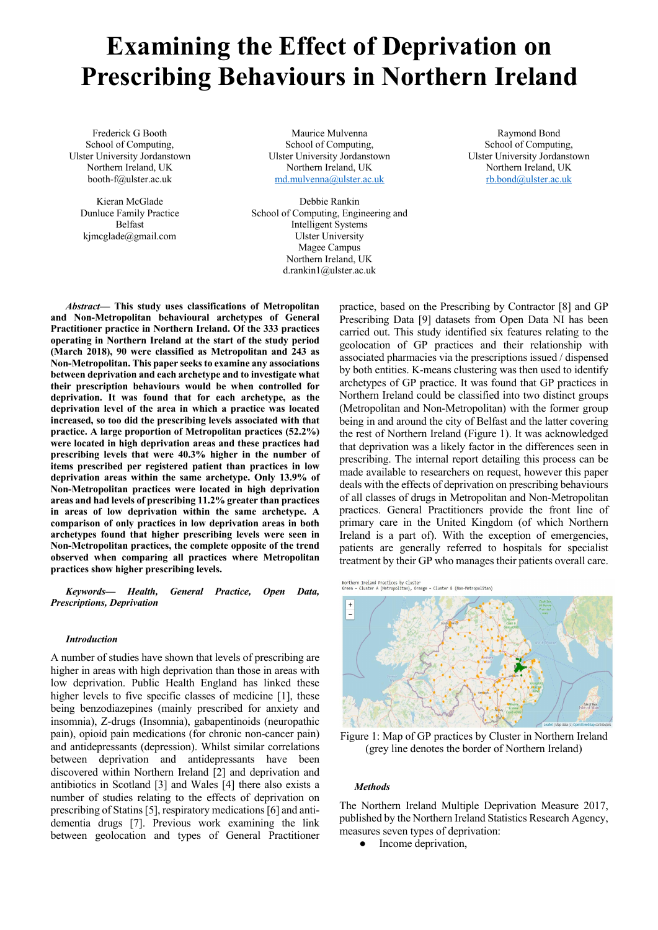# **Examining the Effect of Deprivation on Prescribing Behaviours in Northern Ireland**

Frederick G Booth School of Computing, Ulster University Jordanstown Northern Ireland, UK booth-f@ulster.ac.uk

Kieran McGlade Dunluce Family Practice Belfast kjmcglade@gmail.com

Maurice Mulvenna School of Computing, Ulster University Jordanstown Northern Ireland, UK md.mulvenna@ulster.ac.uk

Debbie Rankin School of Computing, Engineering and Intelligent Systems Ulster University Magee Campus Northern Ireland, UK d.rankin1@ulster.ac.uk

Raymond Bond School of Computing, Ulster University Jordanstown Northern Ireland, UK rb.bond@ulster.ac.uk

*Abstract***— This study uses classifications of Metropolitan and Non-Metropolitan behavioural archetypes of General Practitioner practice in Northern Ireland. Of the 333 practices operating in Northern Ireland at the start of the study period (March 2018), 90 were classified as Metropolitan and 243 as Non-Metropolitan. This paper seeks to examine any associations between deprivation and each archetype and to investigate what their prescription behaviours would be when controlled for deprivation. It was found that for each archetype, as the deprivation level of the area in which a practice was located increased, so too did the prescribing levels associated with that practice. A large proportion of Metropolitan practices (52.2%) were located in high deprivation areas and these practices had prescribing levels that were 40.3% higher in the number of items prescribed per registered patient than practices in low deprivation areas within the same archetype. Only 13.9% of Non-Metropolitan practices were located in high deprivation areas and had levels of prescribing 11.2% greater than practices in areas of low deprivation within the same archetype. A comparison of only practices in low deprivation areas in both archetypes found that higher prescribing levels were seen in Non-Metropolitan practices, the complete opposite of the trend observed when comparing all practices where Metropolitan practices show higher prescribing levels.**

*Keywords— Health, General Practice, Open Data, Prescriptions, Deprivation*

#### *Introduction*

A number of studies have shown that levels of prescribing are higher in areas with high deprivation than those in areas with low deprivation. Public Health England has linked these higher levels to five specific classes of medicine [1], these being benzodiazepines (mainly prescribed for anxiety and insomnia), Z-drugs (Insomnia), gabapentinoids (neuropathic pain), opioid pain medications (for chronic non-cancer pain) and antidepressants (depression). Whilst similar correlations between deprivation and antidepressants have been discovered within Northern Ireland [2] and deprivation and antibiotics in Scotland [3] and Wales [4] there also exists a number of studies relating to the effects of deprivation on prescribing of Statins [5], respiratory medications [6] and antidementia drugs [7]. Previous work examining the link between geolocation and types of General Practitioner

practice, based on the Prescribing by Contractor [8] and GP Prescribing Data [9] datasets from Open Data NI has been carried out. This study identified six features relating to the geolocation of GP practices and their relationship with associated pharmacies via the prescriptions issued / dispensed by both entities. K-means clustering was then used to identify archetypes of GP practice. It was found that GP practices in Northern Ireland could be classified into two distinct groups (Metropolitan and Non-Metropolitan) with the former group being in and around the city of Belfast and the latter covering the rest of Northern Ireland (Figure 1). It was acknowledged that deprivation was a likely factor in the differences seen in prescribing. The internal report detailing this process can be made available to researchers on request, however this paper deals with the effects of deprivation on prescribing behaviours of all classes of drugs in Metropolitan and Non-Metropolitan practices. General Practitioners provide the front line of primary care in the United Kingdom (of which Northern Ireland is a part of). With the exception of emergencies, patients are generally referred to hospitals for specialist treatment by their GP who manages their patients overall care.

Northern Ireland Practices by Cluster<br>Green = Cluster A (Metropolitan), Orange = Cluster B (Non-Metropolitan)



Figure 1: Map of GP practices by Cluster in Northern Ireland (grey line denotes the border of Northern Ireland)

#### *Methods*

The Northern Ireland Multiple Deprivation Measure 2017, published by the Northern Ireland Statistics Research Agency, measures seven types of deprivation:

• Income deprivation,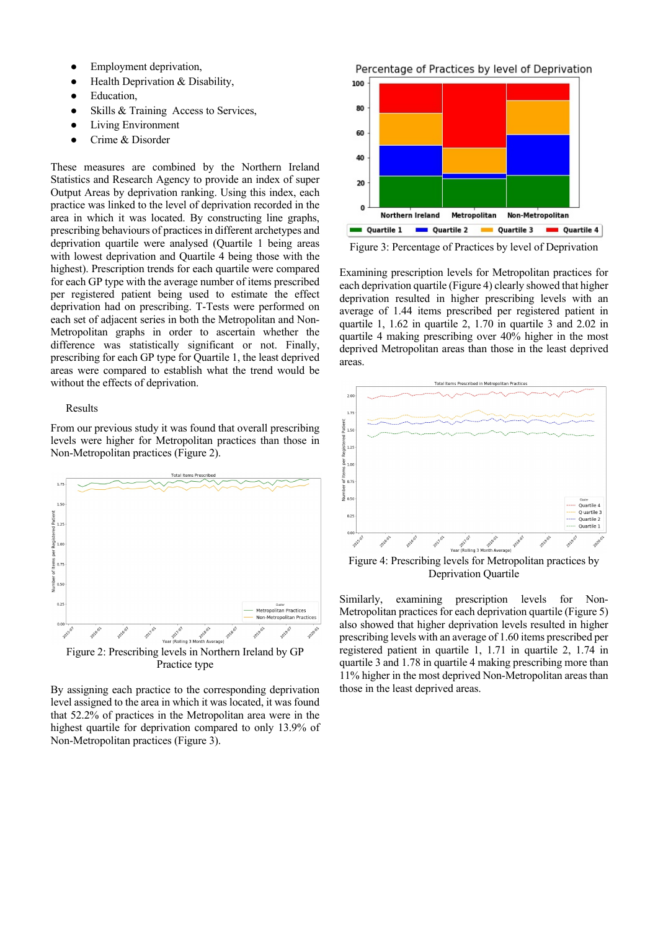- Employment deprivation,
- Health Deprivation & Disability,
- Education.
- Skills & Training Access to Services,
- **Living Environment**
- Crime & Disorder

These measures are combined by the Northern Ireland Statistics and Research Agency to provide an index of super Output Areas by deprivation ranking. Using this index, each practice was linked to the level of deprivation recorded in the area in which it was located. By constructing line graphs, prescribing behaviours of practices in different archetypes and deprivation quartile were analysed (Quartile 1 being areas with lowest deprivation and Quartile 4 being those with the highest). Prescription trends for each quartile were compared for each GP type with the average number of items prescribed per registered patient being used to estimate the effect deprivation had on prescribing. T-Tests were performed on each set of adjacent series in both the Metropolitan and Non-Metropolitan graphs in order to ascertain whether the difference was statistically significant or not. Finally, prescribing for each GP type for Quartile 1, the least deprived areas were compared to establish what the trend would be without the effects of deprivation.

## Results

From our previous study it was found that overall prescribing levels were higher for Metropolitan practices than those in Non-Metropolitan practices (Figure 2).



By assigning each practice to the corresponding deprivation level assigned to the area in which it was located, it was found that 52.2% of practices in the Metropolitan area were in the highest quartile for deprivation compared to only 13.9% of Non-Metropolitan practices (Figure 3).

Percentage of Practices by level of Deprivation



Figure 3: Percentage of Practices by level of Deprivation

Examining prescription levels for Metropolitan practices for each deprivation quartile (Figure 4) clearly showed that higher deprivation resulted in higher prescribing levels with an average of 1.44 items prescribed per registered patient in quartile 1, 1.62 in quartile 2, 1.70 in quartile 3 and 2.02 in quartile 4 making prescribing over 40% higher in the most deprived Metropolitan areas than those in the least deprived areas.



Deprivation Quartile

Similarly, examining prescription levels for Non-Metropolitan practices for each deprivation quartile (Figure 5) also showed that higher deprivation levels resulted in higher prescribing levels with an average of 1.60 items prescribed per registered patient in quartile 1, 1.71 in quartile 2, 1.74 in quartile 3 and 1.78 in quartile 4 making prescribing more than 11% higher in the most deprived Non-Metropolitan areas than those in the least deprived areas.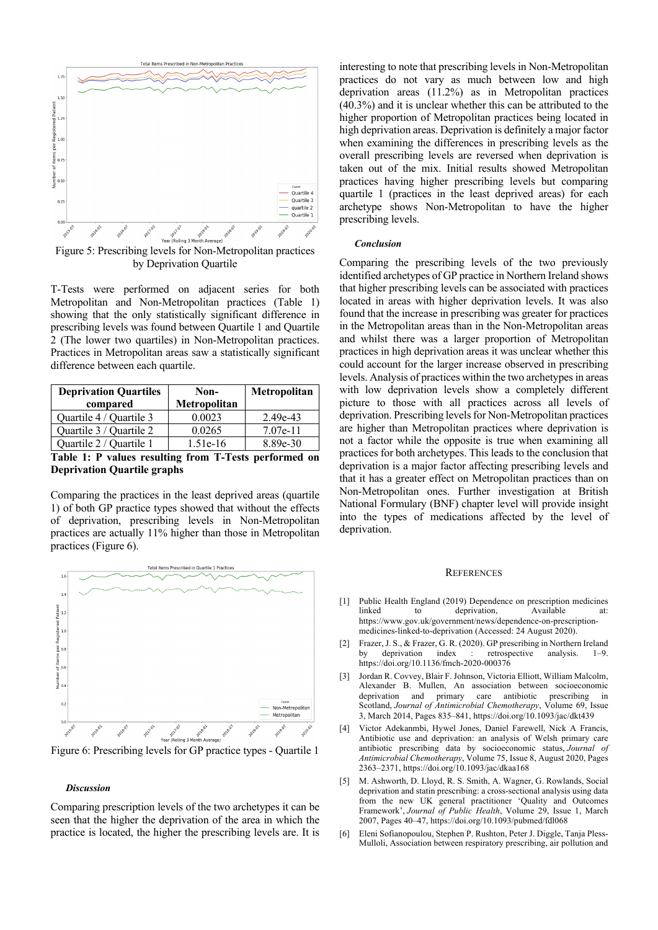

Figure 5: Prescribing levels for Non-Metropolitan practices by Deprivation Quartile

T-Tests were performed on adjacent series for both Metropolitan and Non-Metropolitan practices (Table 1) showing that the only statistically significant difference in prescribing levels was found between Quartile 1 and Quartile 2 (The lower two quartiles) in Non-Metropolitan practices. Practices in Metropolitan areas saw a statistically significant difference between each quartile.

| <b>Deprivation Quartiles</b> | Non-         | Metropolitan |
|------------------------------|--------------|--------------|
| compared                     | Metropolitan |              |
| Quartile 4 / Quartile 3      | 0.0023       | $2.49e-43$   |
| Quartile 3 / Quartile 2      | 0.0265       | $7.07e-11$   |
| Quartile 2 / Quartile 1      | $1.51e-16$   | 8.89e-30     |

**Table 1: P values resulting from T-Tests performed on Deprivation Quartile graphs**

Comparing the practices in the least deprived areas (quartile 1) of both GP practice types showed that without the effects of deprivation, prescribing levels in Non-Metropolitan practices are actually 11% higher than those in Metropolitan practices (Figure 6).



Figure 6: Prescribing levels for GP practice types - Quartile 1

# *Discussion*

Comparing prescription levels of the two archetypes it can be seen that the higher the deprivation of the area in which the practice is located, the higher the prescribing levels are. It is

interesting to note that prescribing levels in Non-Metropolitan practices do not vary as much between low and high deprivation areas (11.2%) as in Metropolitan practices (40.3%) and it is unclear whether this can be attributed to the higher proportion of Metropolitan practices being located in high deprivation areas. Deprivation is definitely a major factor when examining the differences in prescribing levels as the overall prescribing levels are reversed when deprivation is taken out of the mix. Initial results showed Metropolitan practices having higher prescribing levels but comparing quartile 1 (practices in the least deprived areas) for each archetype shows Non-Metropolitan to have the higher prescribing levels.

# *Conclusion*

Comparing the prescribing levels of the two previously identified archetypes of GP practice in Northern Ireland shows that higher prescribing levels can be associated with practices located in areas with higher deprivation levels. It was also found that the increase in prescribing was greater for practices in the Metropolitan areas than in the Non-Metropolitan areas and whilst there was a larger proportion of Metropolitan practices in high deprivation areas it was unclear whether this could account for the larger increase observed in prescribing levels. Analysis of practices within the two archetypes in areas with low deprivation levels show a completely different picture to those with all practices across all levels of deprivation. Prescribing levels for Non-Metropolitan practices are higher than Metropolitan practices where deprivation is not a factor while the opposite is true when examining all practices for both archetypes. This leads to the conclusion that deprivation is a major factor affecting prescribing levels and that it has a greater effect on Metropolitan practices than on Non-Metropolitan ones. Further investigation at British National Formulary (BNF) chapter level will provide insight into the types of medications affected by the level of deprivation.

### **REFERENCES**

- [1] Public Health England (2019) Dependence on prescription medicines to deprivation, Available at: https://www.gov.uk/government/news/dependence-on-prescriptionmedicines-linked-to-deprivation (Accessed: 24 August 2020).
- [2] Frazer, J. S., & Frazer, G. R. (2020). GP prescribing in Northern Ireland by deprivation index : retrospective analysis. 1–9. https://doi.org/10.1136/fmch-2020-000376
- [3] Jordan R. Covvey, Blair F. Johnson, Victoria Elliott, William Malcolm, Alexander B. Mullen, An association between socioeconomic deprivation and primary care antibiotic prescribing in Scotland, *Journal of Antimicrobial Chemotherapy*, Volume 69, Issue 3, March 2014, Pages 835–841, https://doi.org/10.1093/jac/dkt439
- Victor Adekanmbi, Hywel Jones, Daniel Farewell, Nick A Francis, Antibiotic use and deprivation: an analysis of Welsh primary care antibiotic prescribing data by socioeconomic status, *Journal of Antimicrobial Chemotherapy*, Volume 75, Issue 8, August 2020, Pages 2363–2371, https://doi.org/10.1093/jac/dkaa168
- [5] M. Ashworth, D. Lloyd, R. S. Smith, A. Wagner, G. Rowlands, Social deprivation and statin prescribing: a cross-sectional analysis using data from the new UK general practitioner 'Quality and Outcomes Framework', *Journal of Public Health*, Volume 29, Issue 1, March 2007, Pages 40–47, https://doi.org/10.1093/pubmed/fdl068
- Eleni Sofianopoulou, Stephen P. Rushton, Peter J. Diggle, Tanja Pless-Mulloli, Association between respiratory prescribing, air pollution and